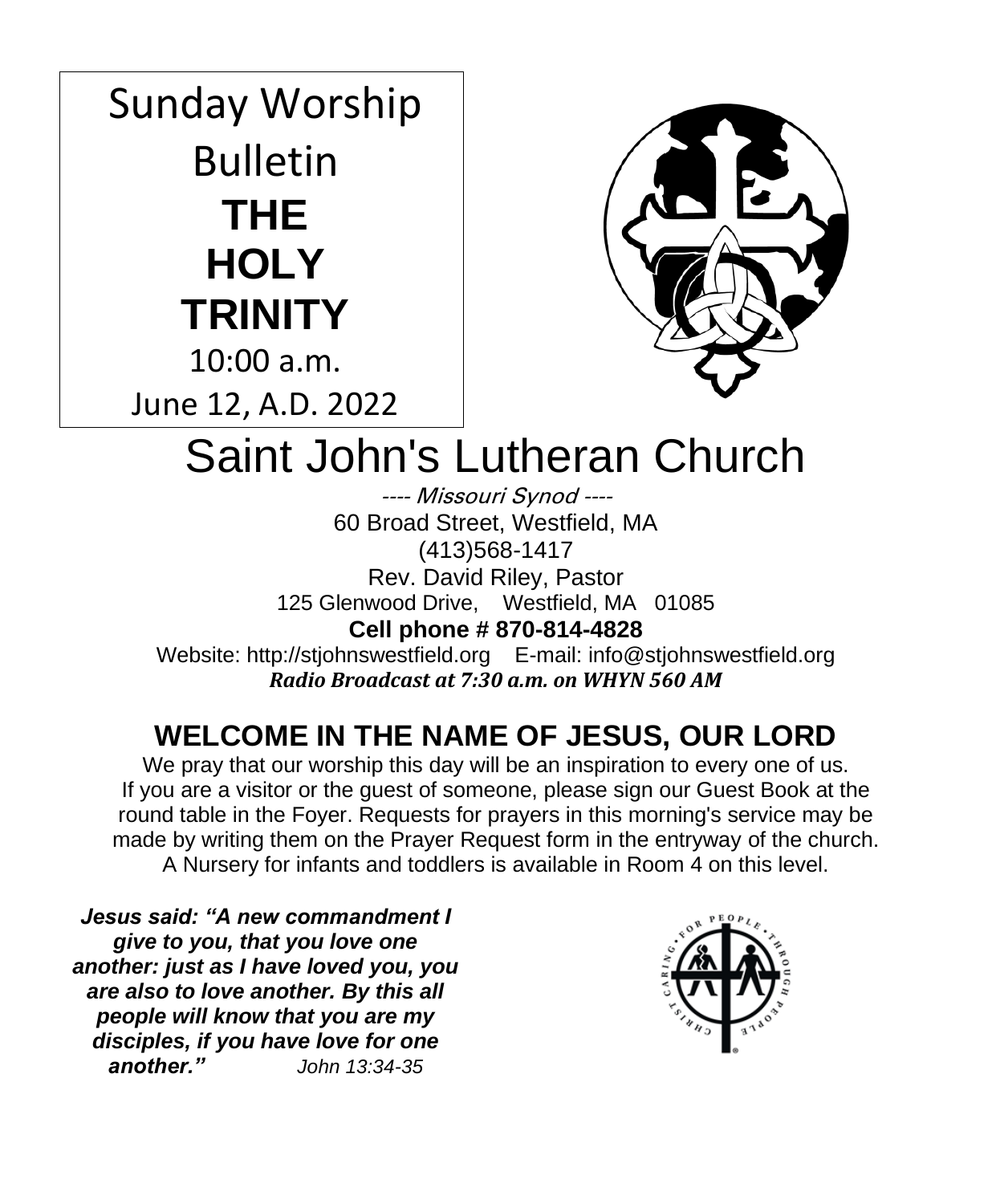# Sunday Worship Bulletin **THE HOLY TRINITY** 10:00 a.m. June 12, A.D. 2022



# Saint John's Lutheran Church

---- Missouri Synod ---- 60 Broad Street, Westfield, MA (413)568-1417 Rev. David Riley, Pastor 125 Glenwood Drive, Westfield, MA 01085 **Cell phone # 870-814-4828** Website: http://stjohnswestfield.org E-mail: info@stjohnswestfield.org *Radio Broadcast at 7:30 a.m. on WHYN 560 AM*

# **WELCOME IN THE NAME OF JESUS, OUR LORD**

We pray that our worship this day will be an inspiration to every one of us. If you are a visitor or the guest of someone, please sign our Guest Book at the round table in the Foyer. Requests for prayers in this morning's service may be made by writing them on the Prayer Request form in the entryway of the church. A Nursery for infants and toddlers is available in Room 4 on this level.

*Jesus said: "A new commandment I give to you, that you love one another: just as I have loved you, you are also to love another. By this all people will know that you are my disciples, if you have love for one another." John 13:34-35*

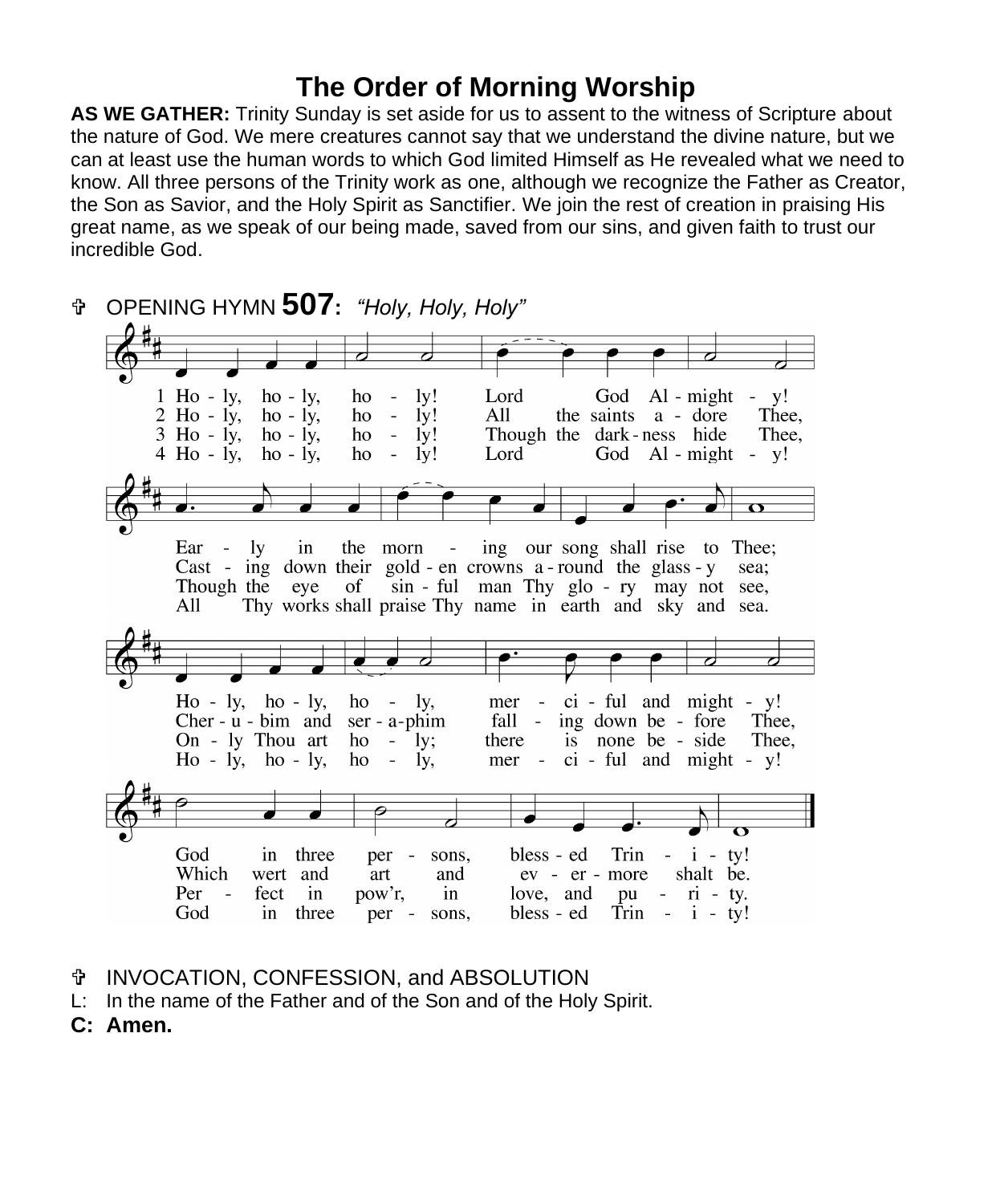# **The Order of Morning Worship**

**AS WE GATHER:** Trinity Sunday is set aside for us to assent to the witness of Scripture about the nature of God. We mere creatures cannot say that we understand the divine nature, but we can at least use the human words to which God limited Himself as He revealed what we need to know. All three persons of the Trinity work as one, although we recognize the Father as Creator, the Son as Savior, and the Holy Spirit as Sanctifier. We join the rest of creation in praising His great name, as we speak of our being made, saved from our sins, and given faith to trust our incredible God.

 OPENING HYMN **507:** *"Holy, Holy, Holy"*  $1$  Ho - ly,  $1<sub>v</sub>!$ Lord God  $Al - might - y!$  $ho - ly$ , ho  $\blacksquare$  $2$  Ho -  $1y$ ,  $ho - iy$ ,  $1v!$ All the saints a - dore Thee. ho  $\overline{a}$  $3$  Ho - ly,  $ho - ly$ , ly! Though the dark-ness hide ho Thee.  $4$  Ho - ly,  $ho - ly$ , ho  $\overline{a}$ lv! Lord God  $Al - might - y!$ ing our song shall rise to Thee; Ear - $1v$  $in$ the morn -Cast - ing down their gold - en crowns  $a$ -round the glass -  $y$ sea; Though the eye of sin - ful man Thy glo - ry may not see, All Thy works shall praise Thy name in earth and sky and sea.  $ci$  - ful and might -  $v!$  $Ho - ly$ , ho - ly, ho  $\sim$  $\mathbf{I}$   $\mathbf{V}$ , mer  $\sim$ Cher -  $u$  -  $b$ im and Thee.  $ser - a$ -phim fall - ing down be - fore On - ly Thou art ho  $-$  ly; there is none be - side Thee.  $Ho - ly$ ,  $ho - ly$ , ho  $\overline{\phantom{a}}$ ly, mer - ci - ful and might - y! per -God in three sons, bless - ed Trin  $i - tv!$ Which wert and art and ev - er - more shalt be. Per fect  $in$ pow'r,  $in$ love, and pu  $\vec{n}$  - ty. God in three per sons, bless - ed Trin -  $i - ty!$ 

- INVOCATION, CONFESSION, and ABSOLUTION
- L: In the name of the Father and of the Son and of the Holy Spirit.
- **C: Amen.**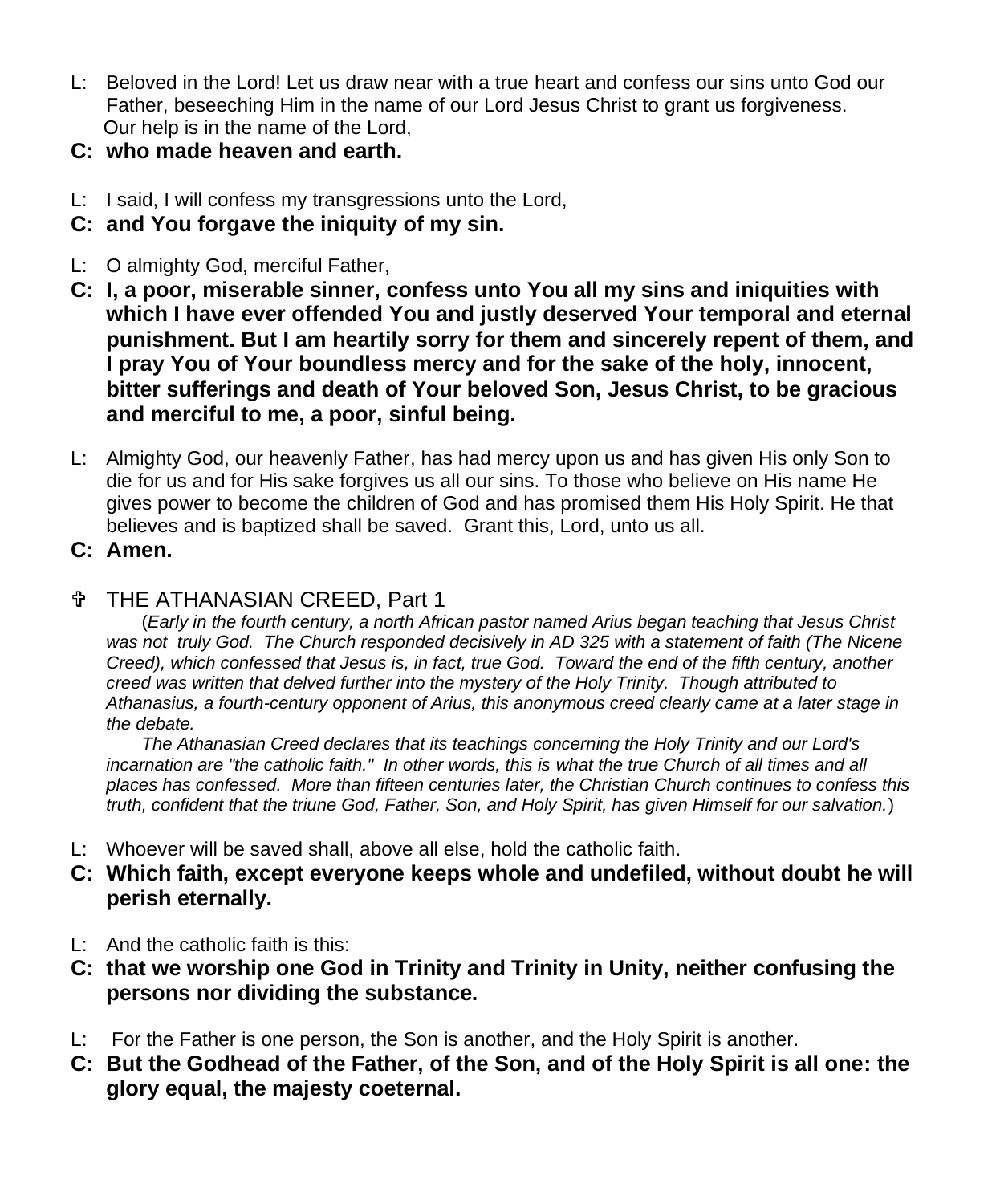- L: Beloved in the Lord! Let us draw near with a true heart and confess our sins unto God our Father, beseeching Him in the name of our Lord Jesus Christ to grant us forgiveness. Our help is in the name of the Lord,
- **C: who made heaven and earth.**
- L: I said, I will confess my transgressions unto the Lord,
- **C: and You forgave the iniquity of my sin.**
- L: O almighty God, merciful Father,
- **C: I, a poor, miserable sinner, confess unto You all my sins and iniquities with which I have ever offended You and justly deserved Your temporal and eternal punishment. But I am heartily sorry for them and sincerely repent of them, and I pray You of Your boundless mercy and for the sake of the holy, innocent, bitter sufferings and death of Your beloved Son, Jesus Christ, to be gracious and merciful to me, a poor, sinful being.**
- L: Almighty God, our heavenly Father, has had mercy upon us and has given His only Son to die for us and for His sake forgives us all our sins. To those who believe on His name He gives power to become the children of God and has promised them His Holy Spirit. He that believes and is baptized shall be saved. Grant this, Lord, unto us all.
- **C: Amen.**

### THE ATHANASIAN CREED, Part 1

(*Early in the fourth century, a north African pastor named Arius began teaching that Jesus Christ was not truly God. The Church responded decisively in AD 325 with a statement of faith (The Nicene Creed), which confessed that Jesus is, in fact, true God. Toward the end of the fifth century, another creed was written that delved further into the mystery of the Holy Trinity. Though attributed to Athanasius, a fourth-century opponent of Arius, this anonymous creed clearly came at a later stage in the debate.*

*The Athanasian Creed declares that its teachings concerning the Holy Trinity and our Lord's*  incarnation are "the catholic faith." In other words, this is what the true Church of all times and all *places has confessed. More than fifteen centuries later, the Christian Church continues to confess this truth, confident that the triune God, Father, Son, and Holy Spirit, has given Himself for our salvation.*)

- L: Whoever will be saved shall, above all else, hold the catholic faith.
- **C: Which faith, except everyone keeps whole and undefiled, without doubt he will perish eternally.**
- L: And the catholic faith is this:
- **C: that we worship one God in Trinity and Trinity in Unity, neither confusing the persons nor dividing the substance.**
- L: For the Father is one person, the Son is another, and the Holy Spirit is another.
- **C: But the Godhead of the Father, of the Son, and of the Holy Spirit is all one: the glory equal, the majesty coeternal.**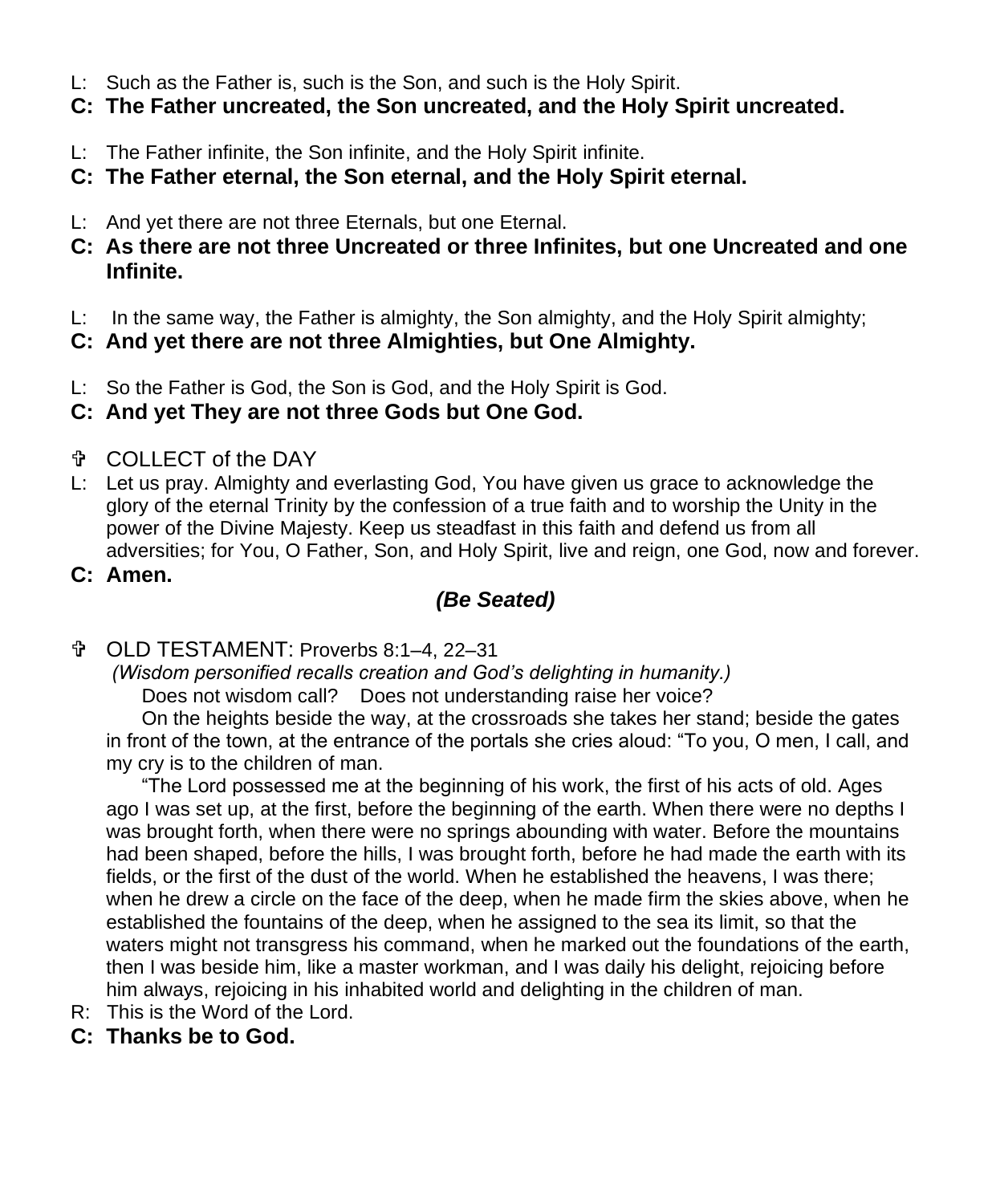- L: Such as the Father is, such is the Son, and such is the Holy Spirit.
- **C: The Father uncreated, the Son uncreated, and the Holy Spirit uncreated.**
- L: The Father infinite, the Son infinite, and the Holy Spirit infinite.
- **C: The Father eternal, the Son eternal, and the Holy Spirit eternal.**
- L: And yet there are not three Eternals, but one Eternal.
- **C: As there are not three Uncreated or three Infinites, but one Uncreated and one Infinite.**
- L: In the same way, the Father is almighty, the Son almighty, and the Holy Spirit almighty;
- **C: And yet there are not three Almighties, but One Almighty.**
- L: So the Father is God, the Son is God, and the Holy Spirit is God.
- **C: And yet They are not three Gods but One God.**
- COLLECT of the DAY
- L: Let us pray. Almighty and everlasting God, You have given us grace to acknowledge the glory of the eternal Trinity by the confession of a true faith and to worship the Unity in the power of the Divine Majesty. Keep us steadfast in this faith and defend us from all adversities; for You, O Father, Son, and Holy Spirit, live and reign, one God, now and forever.
- **C: Amen.**

# *(Be Seated)*

OLD TESTAMENT: Proverbs 8:1–4, 22–31

*(Wisdom personified recalls creation and God's delighting in humanity.)*

Does not wisdom call? Does not understanding raise her voice?

On the heights beside the way, at the crossroads she takes her stand; beside the gates in front of the town, at the entrance of the portals she cries aloud: "To you, O men, I call, and my cry is to the children of man.

"The Lord possessed me at the beginning of his work, the first of his acts of old. Ages ago I was set up, at the first, before the beginning of the earth. When there were no depths I was brought forth, when there were no springs abounding with water. Before the mountains had been shaped, before the hills, I was brought forth, before he had made the earth with its fields, or the first of the dust of the world. When he established the heavens, I was there; when he drew a circle on the face of the deep, when he made firm the skies above, when he established the fountains of the deep, when he assigned to the sea its limit, so that the waters might not transgress his command, when he marked out the foundations of the earth, then I was beside him, like a master workman, and I was daily his delight, rejoicing before him always, rejoicing in his inhabited world and delighting in the children of man.

- R: This is the Word of the Lord.
- **C: Thanks be to God.**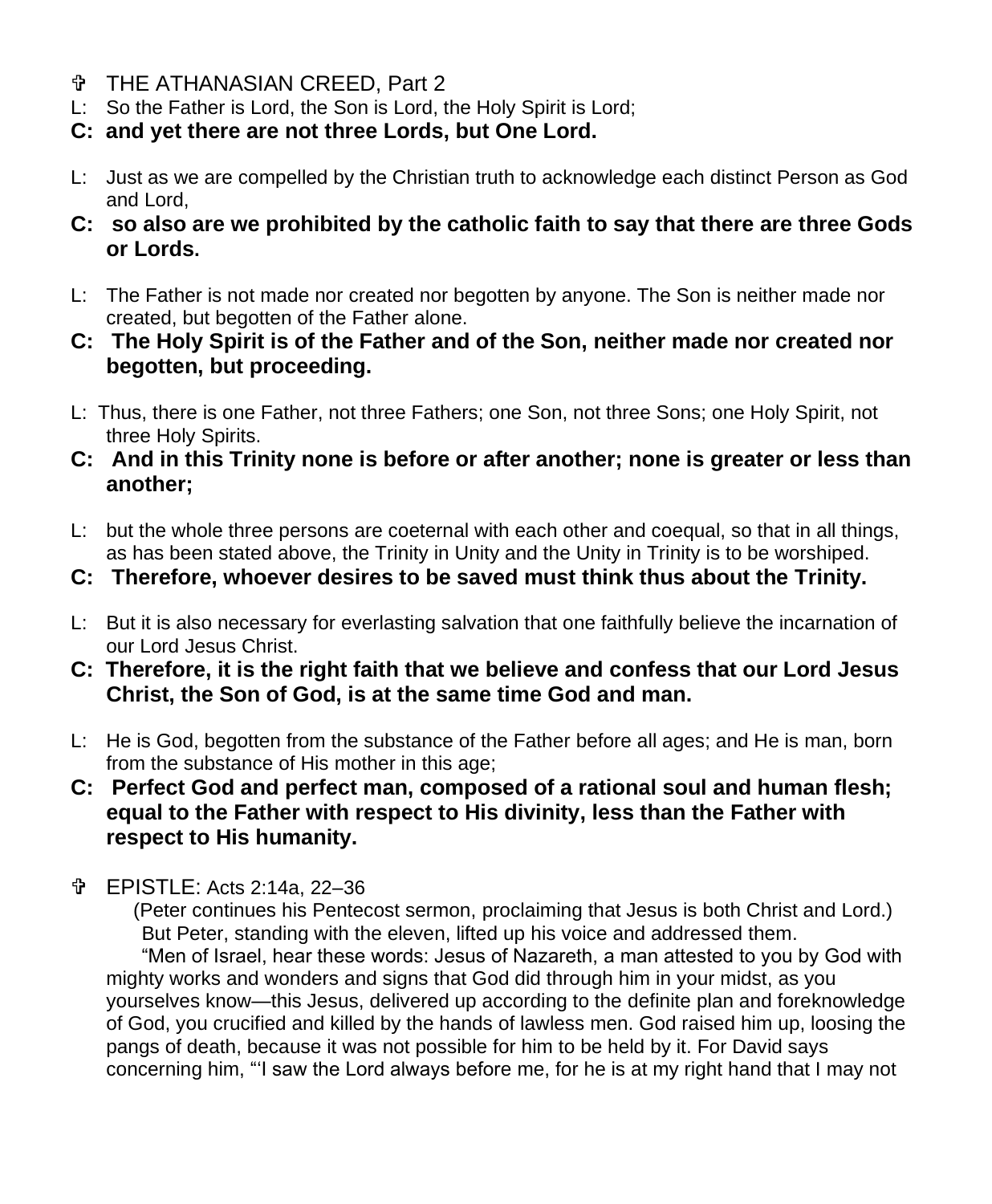- THE ATHANASIAN CREED, Part 2
- L: So the Father is Lord, the Son is Lord, the Holy Spirit is Lord;
- **C: and yet there are not three Lords, but One Lord.**
- L: Just as we are compelled by the Christian truth to acknowledge each distinct Person as God and Lord,
- **C: so also are we prohibited by the catholic faith to say that there are three Gods or Lords.**
- L: The Father is not made nor created nor begotten by anyone. The Son is neither made nor created, but begotten of the Father alone.
- **C: The Holy Spirit is of the Father and of the Son, neither made nor created nor begotten, but proceeding.**
- L: Thus, there is one Father, not three Fathers; one Son, not three Sons; one Holy Spirit, not three Holy Spirits.
- **C: And in this Trinity none is before or after another; none is greater or less than another;**
- L: but the whole three persons are coeternal with each other and coequal, so that in all things, as has been stated above, the Trinity in Unity and the Unity in Trinity is to be worshiped.
- **C: Therefore, whoever desires to be saved must think thus about the Trinity.**
- L: But it is also necessary for everlasting salvation that one faithfully believe the incarnation of our Lord Jesus Christ.
- **C: Therefore, it is the right faith that we believe and confess that our Lord Jesus Christ, the Son of God, is at the same time God and man.**
- L: He is God, begotten from the substance of the Father before all ages; and He is man, born from the substance of His mother in this age;
- **C: Perfect God and perfect man, composed of a rational soul and human flesh; equal to the Father with respect to His divinity, less than the Father with respect to His humanity.**
- EPISTLE: Acts 2:14a, 22–36

(Peter continues his Pentecost sermon, proclaiming that Jesus is both Christ and Lord.) But Peter, standing with the eleven, lifted up his voice and addressed them. "Men of Israel, hear these words: Jesus of Nazareth, a man attested to you by God with mighty works and wonders and signs that God did through him in your midst, as you yourselves know—this Jesus, delivered up according to the definite plan and foreknowledge of God, you crucified and killed by the hands of lawless men. God raised him up, loosing the pangs of death, because it was not possible for him to be held by it. For David says concerning him, "'I saw the Lord always before me, for he is at my right hand that I may not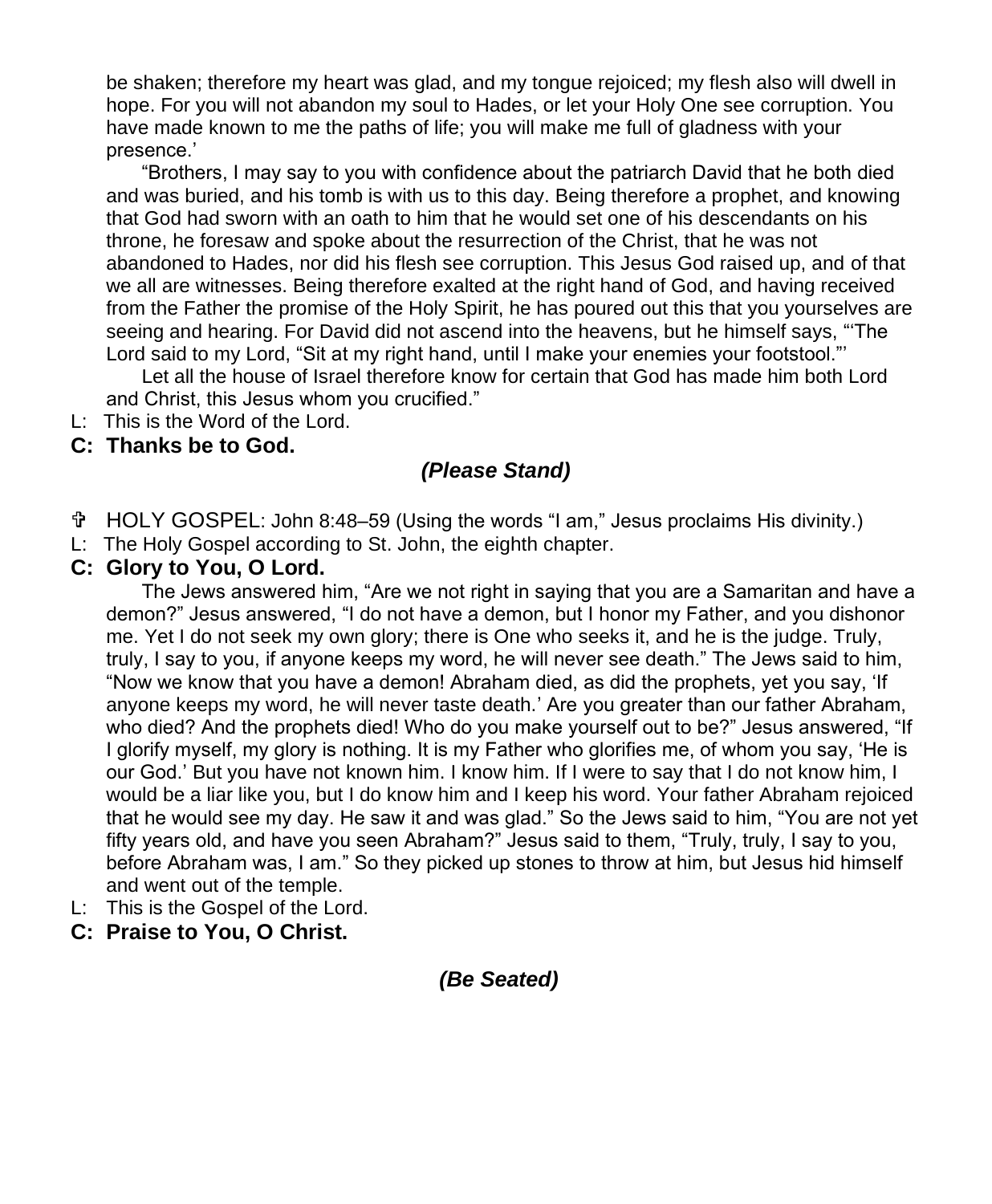be shaken; therefore my heart was glad, and my tongue rejoiced; my flesh also will dwell in hope. For you will not abandon my soul to Hades, or let your Holy One see corruption. You have made known to me the paths of life; you will make me full of gladness with your presence.'

"Brothers, I may say to you with confidence about the patriarch David that he both died and was buried, and his tomb is with us to this day. Being therefore a prophet, and knowing that God had sworn with an oath to him that he would set one of his descendants on his throne, he foresaw and spoke about the resurrection of the Christ, that he was not abandoned to Hades, nor did his flesh see corruption. This Jesus God raised up, and of that we all are witnesses. Being therefore exalted at the right hand of God, and having received from the Father the promise of the Holy Spirit, he has poured out this that you yourselves are seeing and hearing. For David did not ascend into the heavens, but he himself says, "'The Lord said to my Lord, "Sit at my right hand, until I make your enemies your footstool."'

Let all the house of Israel therefore know for certain that God has made him both Lord and Christ, this Jesus whom you crucified."

L: This is the Word of the Lord.

### **C: Thanks be to God.**

# *(Please Stand)*

- HOLY GOSPEL: John 8:48–59 (Using the words "I am," Jesus proclaims His divinity.)
- L: The Holy Gospel according to St. John, the eighth chapter.

#### **C: Glory to You, O Lord.**

The Jews answered him, "Are we not right in saying that you are a Samaritan and have a demon?" Jesus answered, "I do not have a demon, but I honor my Father, and you dishonor me. Yet I do not seek my own glory; there is One who seeks it, and he is the judge. Truly, truly, I say to you, if anyone keeps my word, he will never see death." The Jews said to him, "Now we know that you have a demon! Abraham died, as did the prophets, yet you say, 'If anyone keeps my word, he will never taste death.' Are you greater than our father Abraham, who died? And the prophets died! Who do you make yourself out to be?" Jesus answered, "If I glorify myself, my glory is nothing. It is my Father who glorifies me, of whom you say, 'He is our God.' But you have not known him. I know him. If I were to say that I do not know him, I would be a liar like you, but I do know him and I keep his word. Your father Abraham rejoiced that he would see my day. He saw it and was glad." So the Jews said to him, "You are not yet fifty years old, and have you seen Abraham?" Jesus said to them, "Truly, truly, I say to you, before Abraham was, I am." So they picked up stones to throw at him, but Jesus hid himself and went out of the temple.

- L: This is the Gospel of the Lord.
- **C: Praise to You, O Christ.**

# *(Be Seated)*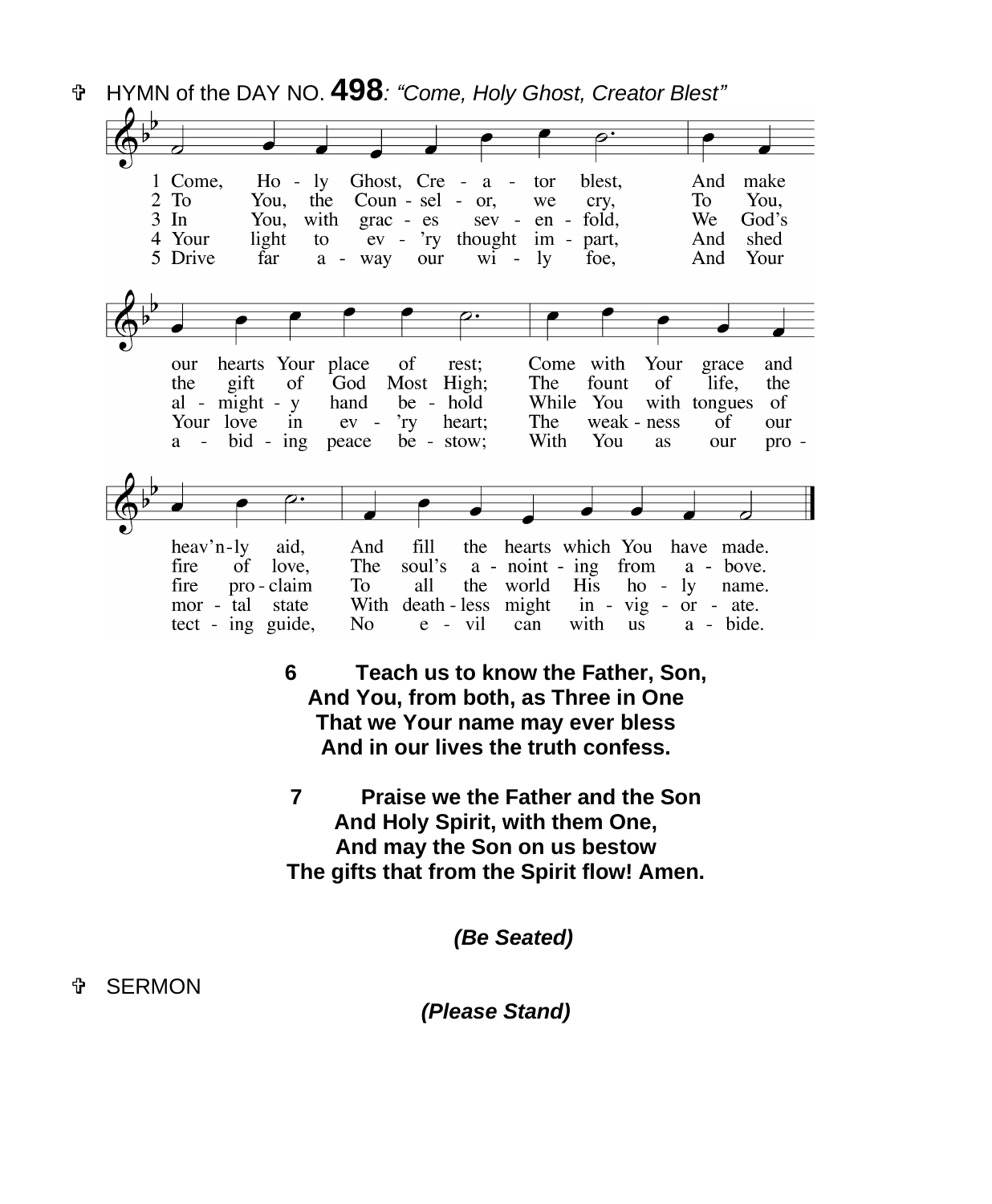HYMN of the DAY NO. **498***: "Come, Holy Ghost, Creator Blest"* 1 Come,  $Ho - ly$ Ghost, Cre blest. And make  $a$ tor  $2$  To You. the Coun - sel - or, we crv. To You.  $3 \; \text{In}$ You, with grac - es  $sev$ en fold. We God's 4 Your light to  $ev - \gamma y$  thought im part, And shed 5 Drive far a - way our  $\overline{w}$  -  $\overline{v}$ foe, And Your hearts Your place of Come with Your our rest; grace and the gift of God Most High; The fount <sub>of</sub> life, the al - might -  $y$ hand be - hold While You with tongues - of Your love in  $r_{\rm IV}$ heart; The weak - ness  $ev$ of our a - bid - ing peace be - stow; With You **as** our pro heav'n-ly aid, And  $f11$ the hearts which You have made. The a - bove. fire of love. soul's a - noint - ing from ho - ly name. fire pro - claim To all the world **His** mor - tal state With death-less might in  $-$  vig  $-$  or  $-$  ate. tect - ing guide, No  $e - vil$ can with us a - bide. **6 Teach us to know the Father, Son, And You, from both, as Three in One That we Your name may ever bless And in our lives the truth confess. 7 Praise we the Father and the Son And Holy Spirit, with them One, And may the Son on us bestow The gifts that from the Spirit flow! Amen.**

*(Be Seated)*

SERMON

*(Please Stand)*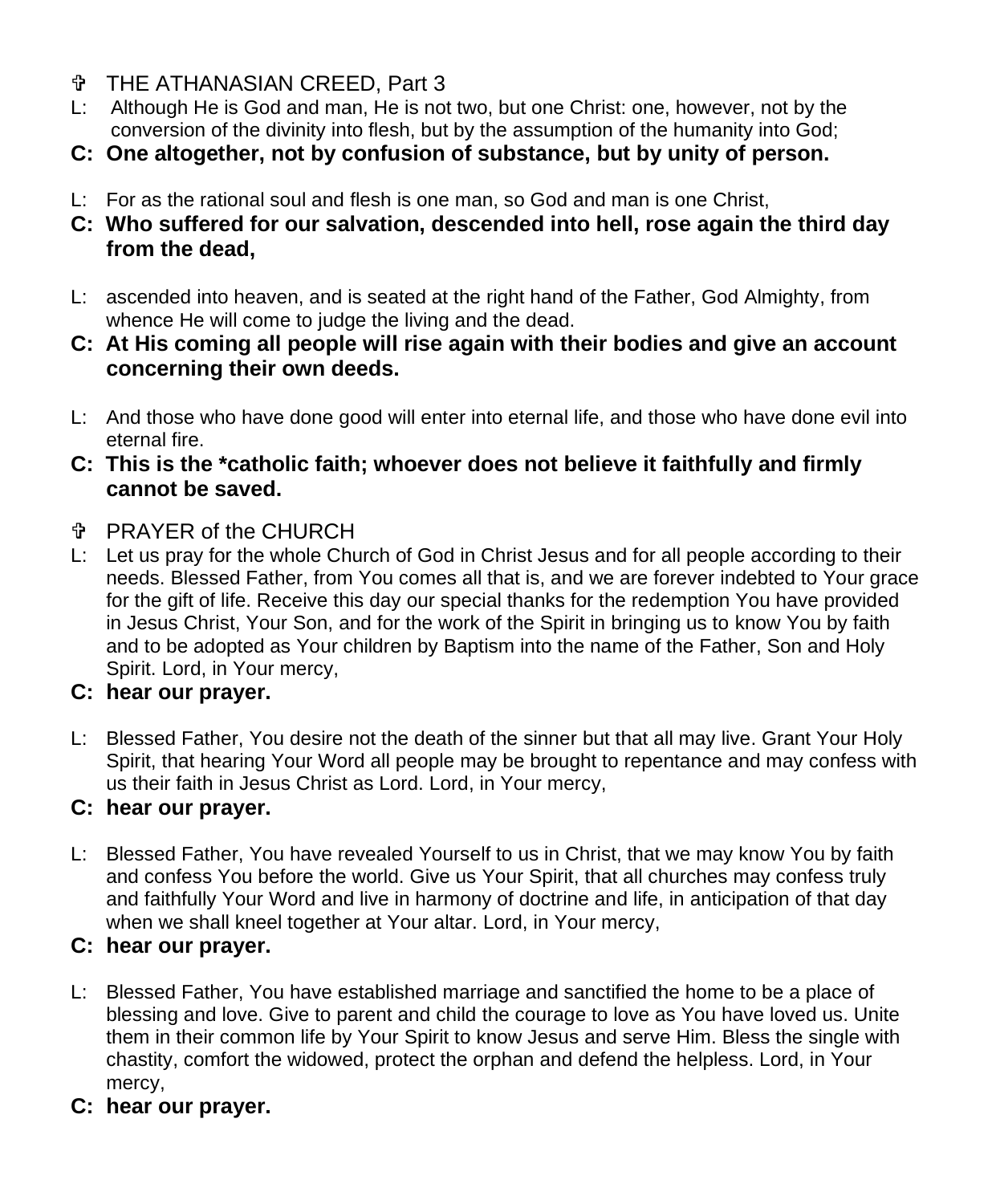- THE ATHANASIAN CREED, Part 3
- L: Although He is God and man, He is not two, but one Christ: one, however, not by the conversion of the divinity into flesh, but by the assumption of the humanity into God;
- **C: One altogether, not by confusion of substance, but by unity of person.**
- L: For as the rational soul and flesh is one man, so God and man is one Christ,
- **C: Who suffered for our salvation, descended into hell, rose again the third day from the dead,**
- L: ascended into heaven, and is seated at the right hand of the Father, God Almighty, from whence He will come to judge the living and the dead.
- **C: At His coming all people will rise again with their bodies and give an account concerning their own deeds.**
- L: And those who have done good will enter into eternal life, and those who have done evil into eternal fire.
- **C: This is the \*catholic faith; whoever does not believe it faithfully and firmly cannot be saved.**
- PRAYER of the CHURCH
- L: Let us pray for the whole Church of God in Christ Jesus and for all people according to their needs. Blessed Father, from You comes all that is, and we are forever indebted to Your grace for the gift of life. Receive this day our special thanks for the redemption You have provided in Jesus Christ, Your Son, and for the work of the Spirit in bringing us to know You by faith and to be adopted as Your children by Baptism into the name of the Father, Son and Holy Spirit. Lord, in Your mercy,

# **C: hear our prayer.**

L: Blessed Father, You desire not the death of the sinner but that all may live. Grant Your Holy Spirit, that hearing Your Word all people may be brought to repentance and may confess with us their faith in Jesus Christ as Lord. Lord, in Your mercy,

# **C: hear our prayer.**

L: Blessed Father, You have revealed Yourself to us in Christ, that we may know You by faith and confess You before the world. Give us Your Spirit, that all churches may confess truly and faithfully Your Word and live in harmony of doctrine and life, in anticipation of that day when we shall kneel together at Your altar. Lord, in Your mercy,

# **C: hear our prayer.**

- L: Blessed Father, You have established marriage and sanctified the home to be a place of blessing and love. Give to parent and child the courage to love as You have loved us. Unite them in their common life by Your Spirit to know Jesus and serve Him. Bless the single with chastity, comfort the widowed, protect the orphan and defend the helpless. Lord, in Your mercy,
- **C: hear our prayer.**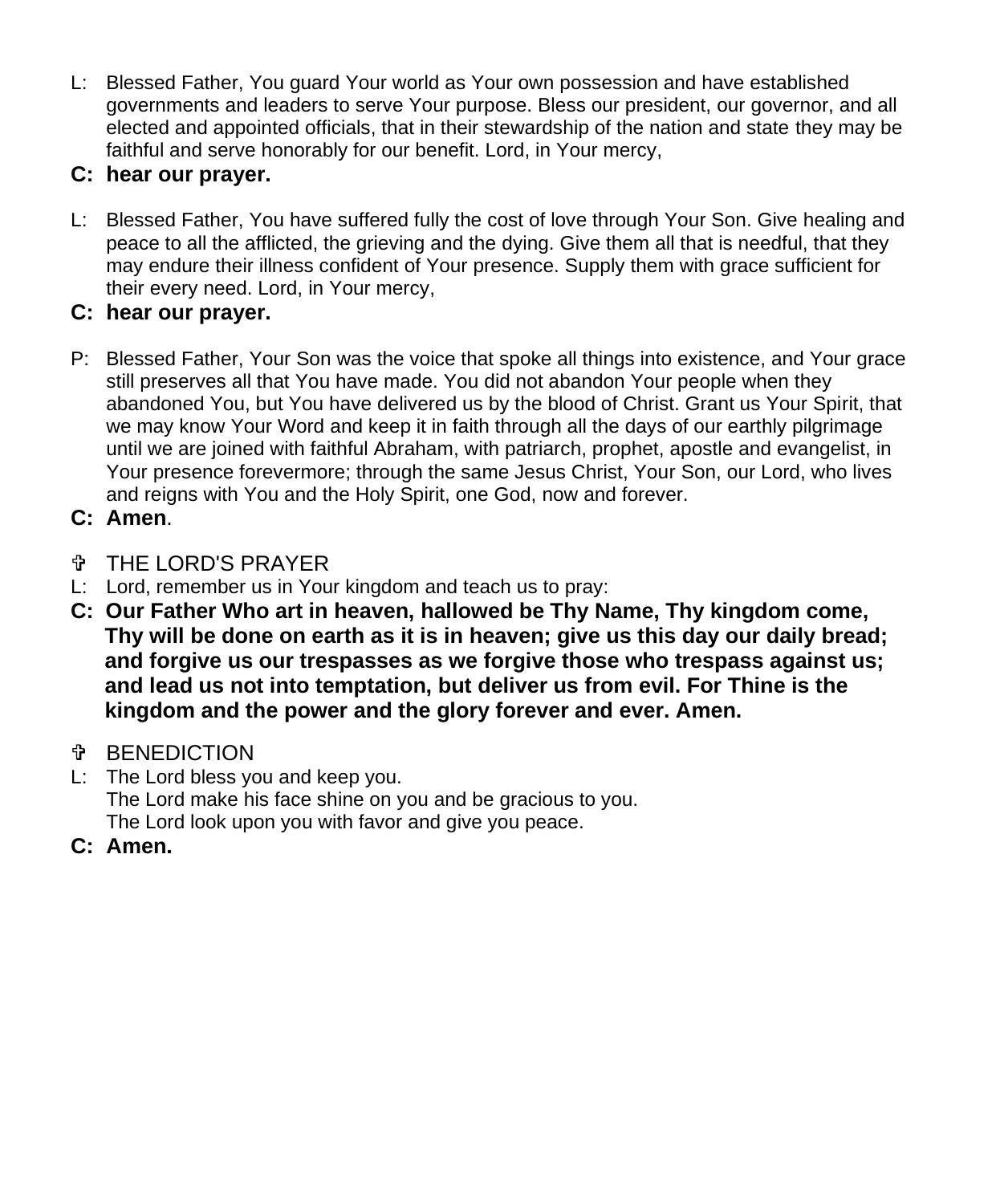L: Blessed Father, You guard Your world as Your own possession and have established governments and leaders to serve Your purpose. Bless our president, our governor, and all elected and appointed officials, that in their stewardship of the nation and state they may be faithful and serve honorably for our benefit. Lord, in Your mercy,

# **C: hear our prayer.**

L: Blessed Father, You have suffered fully the cost of love through Your Son. Give healing and peace to all the afflicted, the grieving and the dying. Give them all that is needful, that they may endure their illness confident of Your presence. Supply them with grace sufficient for their every need. Lord, in Your mercy,

# **C: hear our prayer.**

- P: Blessed Father, Your Son was the voice that spoke all things into existence, and Your grace still preserves all that You have made. You did not abandon Your people when they abandoned You, but You have delivered us by the blood of Christ. Grant us Your Spirit, that we may know Your Word and keep it in faith through all the days of our earthly pilgrimage until we are joined with faithful Abraham, with patriarch, prophet, apostle and evangelist, in Your presence forevermore; through the same Jesus Christ, Your Son, our Lord, who lives and reigns with You and the Holy Spirit, one God, now and forever.
- **C: Amen**.
- THE LORD'S PRAYER
- L: Lord, remember us in Your kingdom and teach us to pray:
- **C: Our Father Who art in heaven, hallowed be Thy Name, Thy kingdom come, Thy will be done on earth as it is in heaven; give us this day our daily bread; and forgive us our trespasses as we forgive those who trespass against us; and lead us not into temptation, but deliver us from evil. For Thine is the kingdom and the power and the glory forever and ever. Amen.**
- *T* BENEDICTION
- L: The Lord bless you and keep you. The Lord make his face shine on you and be gracious to you. The Lord look upon you with favor and give you peace.
- **C: Amen.**